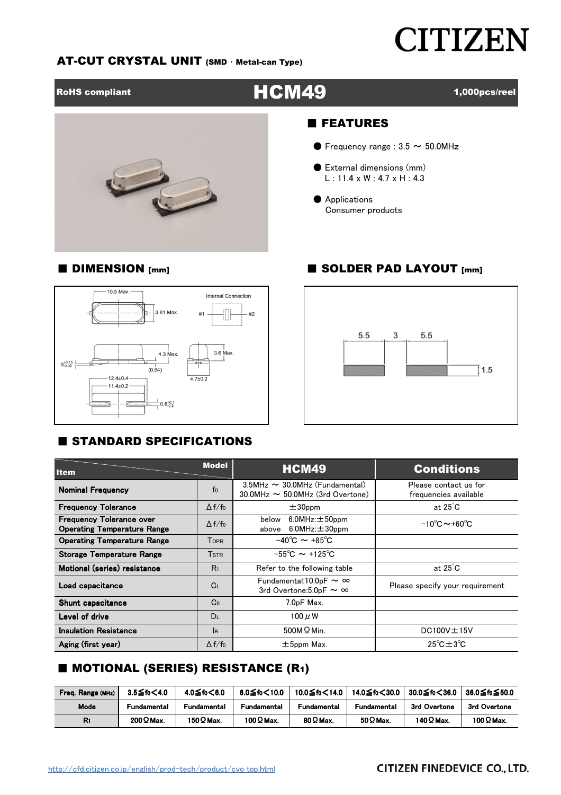# **CITIZEN**

#### AT-CUT CRYSTAL UNIT (SMD ・ Metal-can Type)

### RoHS compliant  $\blacksquare$  and  $\blacksquare$   $\blacksquare$   $\blacksquare$   $\blacksquare$   $\blacksquare$   $\blacksquare$   $\blacksquare$   $\blacksquare$   $\blacksquare$   $\blacksquare$   $\blacksquare$   $\blacksquare$   $\blacksquare$   $\blacksquare$   $\blacksquare$   $\blacksquare$   $\blacksquare$   $\blacksquare$   $\blacksquare$   $\blacksquare$   $\blacksquare$   $\blacksquare$   $\blacksquare$   $\blacksquare$   $\blacksquare$   $\blacksquare$   $\blacksquare$   $\blacksquare$



#### ■ FEATURES

- $\bullet$  Frequency range : 3.5  $\sim$  50.0MHz
- External dimensions (mm)  $L: 11.4 \times W: 4.7 \times H: 4.3$
- Applications Consumer products

#### ■ DIMENSION [mm] ■ SOLDER PAD LAYOUT [mm]



#### **E STANDARD SPECIFICATIONS**



| <b>Item</b>                                                           | <b>Model</b>   | <b>HCM49</b>                                                               | <b>Conditions</b>                              |  |  |  |
|-----------------------------------------------------------------------|----------------|----------------------------------------------------------------------------|------------------------------------------------|--|--|--|
| <b>Nominal Frequency</b>                                              | f <sub>0</sub> | 3.5MHz ~ 30.0MHz (Fundamental)<br>$30.0$ MHz $\sim$ 50.0MHz (3rd Overtone) | Please contact us for<br>frequencies available |  |  |  |
| <b>Frequency Tolerance</b>                                            | $\Delta f/f_0$ | $±30$ ppm                                                                  | at $25^{\circ}$ C                              |  |  |  |
| <b>Frequency Tolerance over</b><br><b>Operating Temperature Range</b> | $\Delta f/f_0$ | $6.0$ MHz: $\pm$ 50ppm<br>below<br>$6.0$ MHz: $\pm$ 30ppm<br>above         | $-10^{\circ}$ C $\sim$ +60 $^{\circ}$ C        |  |  |  |
| <b>Operating Temperature Range</b>                                    | Topr           | $-40^{\circ}$ C $\sim +85^{\circ}$ C                                       |                                                |  |  |  |
| <b>Storage Temperature Range</b>                                      | <b>TSTR</b>    | $-55^{\circ}$ C $\sim$ +125 $^{\circ}$ C                                   |                                                |  |  |  |
| Motional (series) resistance                                          | R <sub>1</sub> | Refer to the following table                                               | at $25^{\circ}$ C                              |  |  |  |
| Load capacitance                                                      | C <sub>L</sub> | Fundamental: $10.0$ pF $\sim \infty$<br>3rd Overtone: $5.0$ pF ~ ∞         | Please specify your requirement                |  |  |  |
| Shunt capacitance                                                     | Co             | 7.0pF Max.                                                                 |                                                |  |  |  |
| Level of drive                                                        | DL             | 100 $\mu$ W                                                                |                                                |  |  |  |
| <b>Insulation Resistance</b>                                          | IR             | $500M\Omega$ Min.                                                          | $DC100V \pm 15V$                               |  |  |  |
| Aging (first year)                                                    | $\Delta f/f_0$ | $\pm$ 5ppm Max.                                                            | $25^{\circ}$ C $\pm$ 3 $^{\circ}$ C            |  |  |  |

### ■ MOTIONAL (SERIES) RESISTANCE (R1)

| Freq. Range (MHz) | $3.5$ ≤fo $<$ 4.0 | 4.0≦fo<6.0        | $6.0$ ≤fo<10.0    | 10.0≦fo<14.0    | 14.0≦fo<30.0     | 30.0≦fo<36.0      | 36.0≦fօ≤50.0     |
|-------------------|-------------------|-------------------|-------------------|-----------------|------------------|-------------------|------------------|
| Mode              | Fundamental       | Fundamental       | Fundamental       | Fundamental     | Fundamental      | 3rd Overtone      | 3rd Overtone     |
| R1                | $200\Omega$ Max.  | 150 $\Omega$ Max. | 100 $\Omega$ Max. | $80\Omega$ Max. | 50 $\Omega$ Max. | 140 $\Omega$ Max. | 100 $\Omega$ Max |